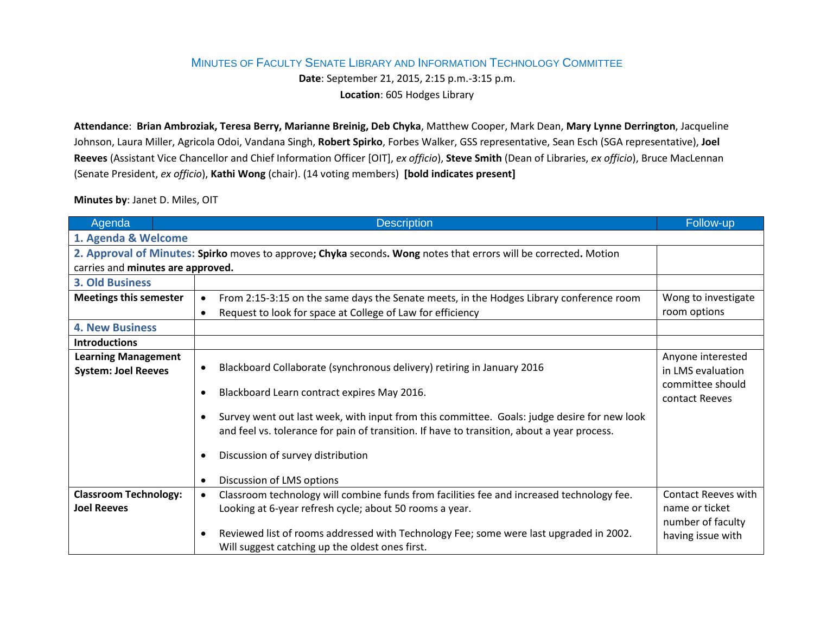## MINUTES OF FACULTY SENATE LIBRARY AND INFORMATION TECHNOLOGY COMMITTEE

**Date**: September 21, 2015, 2:15 p.m.-3:15 p.m.

**Location**: 605 Hodges Library

**Attendance**: **Brian Ambroziak, Teresa Berry, Marianne Breinig, Deb Chyka**, Matthew Cooper, Mark Dean, **Mary Lynne Derrington**, Jacqueline Johnson, Laura Miller, Agricola Odoi, Vandana Singh, **Robert Spirko**, Forbes Walker, GSS representative, Sean Esch (SGA representative), **Joel Reeves** (Assistant Vice Chancellor and Chief Information Officer [OIT], *ex officio*), **Steve Smith** (Dean of Libraries, *ex officio*), Bruce MacLennan (Senate President, *ex officio*), **Kathi Wong** (chair). (14 voting members) **[bold indicates present]**

**Minutes by**: Janet D. Miles, OIT

| Agenda                                                                                                           | <b>Description</b>                                                                                                                                     | Follow-up                              |  |  |
|------------------------------------------------------------------------------------------------------------------|--------------------------------------------------------------------------------------------------------------------------------------------------------|----------------------------------------|--|--|
| 1. Agenda & Welcome                                                                                              |                                                                                                                                                        |                                        |  |  |
| 2. Approval of Minutes: Spirko moves to approve; Chyka seconds. Wong notes that errors will be corrected. Motion |                                                                                                                                                        |                                        |  |  |
| carries and minutes are approved.                                                                                |                                                                                                                                                        |                                        |  |  |
| <b>3. Old Business</b>                                                                                           |                                                                                                                                                        |                                        |  |  |
| <b>Meetings this semester</b>                                                                                    | From 2:15-3:15 on the same days the Senate meets, in the Hodges Library conference room<br>$\bullet$                                                   | Wong to investigate                    |  |  |
|                                                                                                                  | Request to look for space at College of Law for efficiency<br>$\bullet$                                                                                | room options                           |  |  |
| <b>4. New Business</b>                                                                                           |                                                                                                                                                        |                                        |  |  |
| <b>Introductions</b>                                                                                             |                                                                                                                                                        |                                        |  |  |
| <b>Learning Management</b><br><b>System: Joel Reeves</b>                                                         | Blackboard Collaborate (synchronous delivery) retiring in January 2016<br>$\bullet$                                                                    | Anyone interested<br>in LMS evaluation |  |  |
|                                                                                                                  | Blackboard Learn contract expires May 2016.<br>$\bullet$                                                                                               | committee should<br>contact Reeves     |  |  |
|                                                                                                                  | Survey went out last week, with input from this committee. Goals: judge desire for new look<br>$\bullet$                                               |                                        |  |  |
|                                                                                                                  | and feel vs. tolerance for pain of transition. If have to transition, about a year process.                                                            |                                        |  |  |
|                                                                                                                  | Discussion of survey distribution<br>$\bullet$                                                                                                         |                                        |  |  |
|                                                                                                                  | Discussion of LMS options<br>$\bullet$                                                                                                                 |                                        |  |  |
| <b>Classroom Technology:</b>                                                                                     | Classroom technology will combine funds from facilities fee and increased technology fee.<br>$\bullet$                                                 | <b>Contact Reeves with</b>             |  |  |
| <b>Joel Reeves</b>                                                                                               | Looking at 6-year refresh cycle; about 50 rooms a year.                                                                                                | name or ticket                         |  |  |
|                                                                                                                  |                                                                                                                                                        | number of faculty                      |  |  |
|                                                                                                                  | Reviewed list of rooms addressed with Technology Fee; some were last upgraded in 2002.<br>$\bullet$<br>Will suggest catching up the oldest ones first. | having issue with                      |  |  |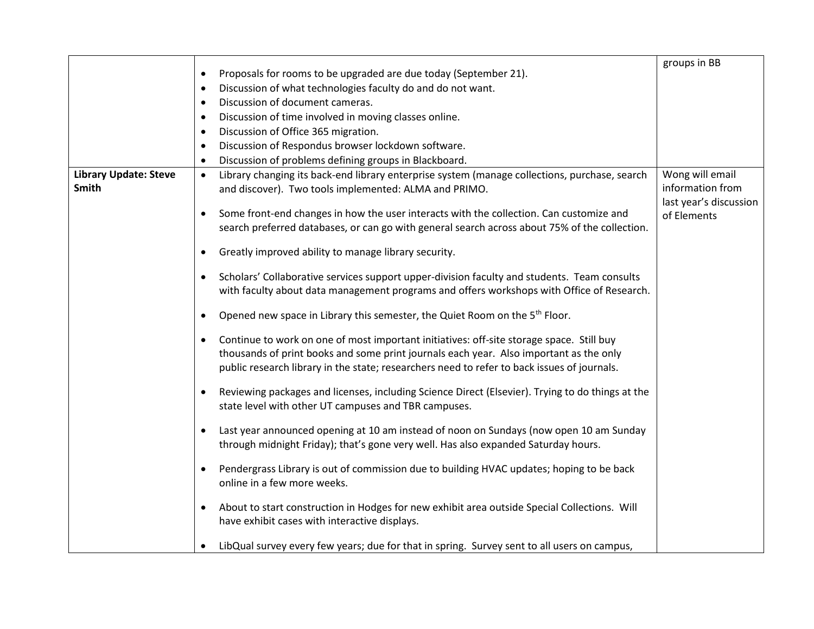|                              |                                                                                                               | groups in BB           |
|------------------------------|---------------------------------------------------------------------------------------------------------------|------------------------|
|                              | Proposals for rooms to be upgraded are due today (September 21).<br>٠                                         |                        |
|                              | Discussion of what technologies faculty do and do not want.<br>$\bullet$                                      |                        |
|                              | Discussion of document cameras.<br>$\bullet$                                                                  |                        |
|                              | Discussion of time involved in moving classes online.<br>$\bullet$                                            |                        |
|                              | Discussion of Office 365 migration.<br>٠                                                                      |                        |
|                              | Discussion of Respondus browser lockdown software.<br>$\bullet$                                               |                        |
|                              | Discussion of problems defining groups in Blackboard.<br>$\bullet$                                            |                        |
| <b>Library Update: Steve</b> | Library changing its back-end library enterprise system (manage collections, purchase, search<br>$\bullet$    | Wong will email        |
| <b>Smith</b>                 | and discover). Two tools implemented: ALMA and PRIMO.                                                         | information from       |
|                              |                                                                                                               | last year's discussion |
|                              | Some front-end changes in how the user interacts with the collection. Can customize and<br>$\bullet$          | of Elements            |
|                              | search preferred databases, or can go with general search across about 75% of the collection.                 |                        |
|                              |                                                                                                               |                        |
|                              | Greatly improved ability to manage library security.<br>$\bullet$                                             |                        |
|                              | Scholars' Collaborative services support upper-division faculty and students. Team consults<br>$\bullet$      |                        |
|                              | with faculty about data management programs and offers workshops with Office of Research.                     |                        |
|                              |                                                                                                               |                        |
|                              | Opened new space in Library this semester, the Quiet Room on the 5 <sup>th</sup> Floor.<br>$\bullet$          |                        |
|                              | Continue to work on one of most important initiatives: off-site storage space. Still buy<br>$\bullet$         |                        |
|                              | thousands of print books and some print journals each year. Also important as the only                        |                        |
|                              | public research library in the state; researchers need to refer to back issues of journals.                   |                        |
|                              |                                                                                                               |                        |
|                              | Reviewing packages and licenses, including Science Direct (Elsevier). Trying to do things at the<br>$\bullet$ |                        |
|                              | state level with other UT campuses and TBR campuses.                                                          |                        |
|                              |                                                                                                               |                        |
|                              | Last year announced opening at 10 am instead of noon on Sundays (now open 10 am Sunday<br>$\bullet$           |                        |
|                              | through midnight Friday); that's gone very well. Has also expanded Saturday hours.                            |                        |
|                              | Pendergrass Library is out of commission due to building HVAC updates; hoping to be back                      |                        |
|                              | online in a few more weeks.                                                                                   |                        |
|                              |                                                                                                               |                        |
|                              | About to start construction in Hodges for new exhibit area outside Special Collections. Will                  |                        |
|                              | have exhibit cases with interactive displays.                                                                 |                        |
|                              |                                                                                                               |                        |
|                              | LibQual survey every few years; due for that in spring. Survey sent to all users on campus,<br>$\bullet$      |                        |